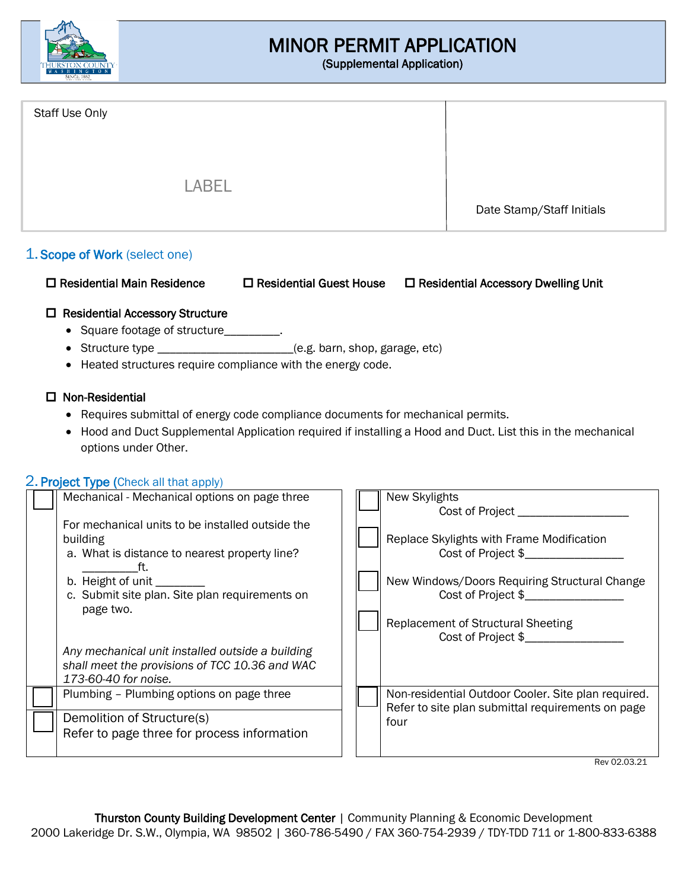

# MINOR PERMIT APPLICATION

(Supplemental Application)

| Staff Use Only |                           |
|----------------|---------------------------|
| <b>LABEL</b>   |                           |
|                | Date Stamp/Staff Initials |

# 1. Scope of Work (select one)

| $\Box$ Residential Main Residence | $\square$ Residential Guest House | $\Box$ Residential Accessory Dwelling Unit |
|-----------------------------------|-----------------------------------|--------------------------------------------|
|-----------------------------------|-----------------------------------|--------------------------------------------|

# □ Residential Accessory Structure

- Square footage of structure\_\_\_\_\_\_
- Structure type \_\_\_\_\_\_\_\_\_\_\_\_\_\_\_\_\_\_\_\_\_\_\_\_(e.g. barn, shop, garage, etc)
- Heated structures require compliance with the energy code.

## $\square$  Non-Residential

- Requires submittal of energy code compliance documents for mechanical permits.
- Hood and Duct Supplemental Application required if installing a Hood and Duct. List this in the mechanical options under Other.

## 2. **Project Type (Check all that apply)**

| Mechanical - Mechanical options on page three                                                                                                                                                                      | New Skylights<br>Cost of Project <b>Cost of Project</b>                                                                                |  |
|--------------------------------------------------------------------------------------------------------------------------------------------------------------------------------------------------------------------|----------------------------------------------------------------------------------------------------------------------------------------|--|
| For mechanical units to be installed outside the<br>building<br>a. What is distance to nearest property line?<br>tt.<br>b. Height of unit _________<br>c. Submit site plan. Site plan requirements on<br>page two. | Replace Skylights with Frame Modification<br>Cost of Project \$<br>New Windows/Doors Requiring Structural Change<br>Cost of Project \$ |  |
| Any mechanical unit installed outside a building<br>shall meet the provisions of TCC 10.36 and WAC<br>173-60-40 for noise.                                                                                         | <b>Replacement of Structural Sheeting</b><br>Cost of Project \$                                                                        |  |
| Plumbing - Plumbing options on page three<br>Demolition of Structure(s)                                                                                                                                            | Non-residential Outdoor Cooler. Site plan required.<br>Refer to site plan submittal requirements on page<br>four                       |  |
| Refer to page three for process information                                                                                                                                                                        | Rev 02.03.21                                                                                                                           |  |
|                                                                                                                                                                                                                    |                                                                                                                                        |  |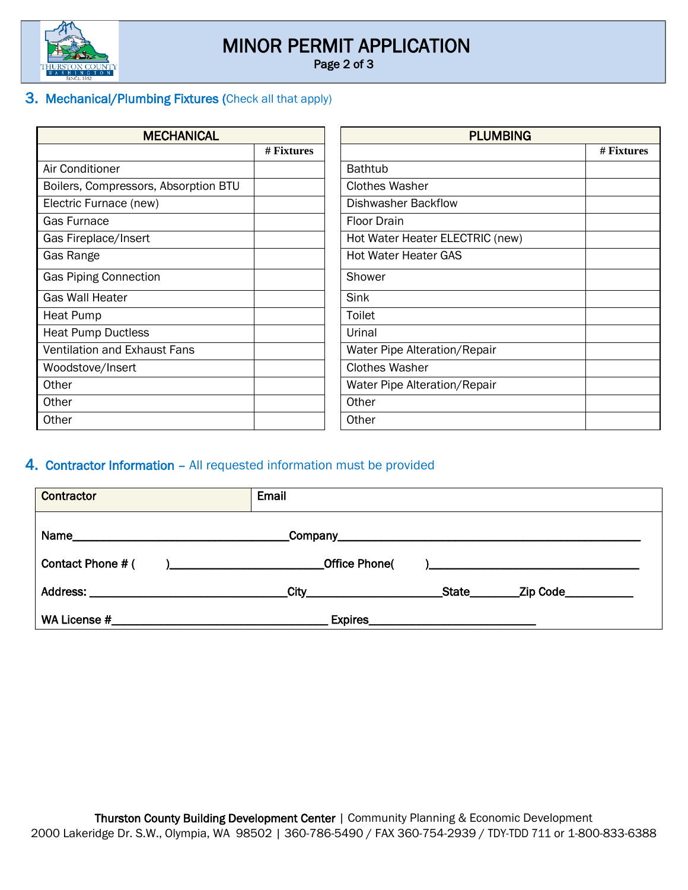

# MINOR PERMIT APPLICATION

Page 2 of 3

# 3. Mechanical/Plumbing Fixtures (Check all that apply)

| <b>MECHANICAL</b>                    |            | <b>PLUMBING</b>                 |            |
|--------------------------------------|------------|---------------------------------|------------|
|                                      | # Fixtures |                                 | # Fixtures |
| Air Conditioner                      |            | <b>Bathtub</b>                  |            |
| Boilers, Compressors, Absorption BTU |            | <b>Clothes Washer</b>           |            |
| Electric Furnace (new)               |            | <b>Dishwasher Backflow</b>      |            |
| <b>Gas Furnace</b>                   |            | <b>Floor Drain</b>              |            |
| Gas Fireplace/Insert                 |            | Hot Water Heater ELECTRIC (new) |            |
| Gas Range                            |            | <b>Hot Water Heater GAS</b>     |            |
| <b>Gas Piping Connection</b>         |            | Shower                          |            |
| <b>Gas Wall Heater</b>               |            | Sink                            |            |
| Heat Pump                            |            | Toilet                          |            |
| <b>Heat Pump Ductless</b>            |            | Urinal                          |            |
| <b>Ventilation and Exhaust Fans</b>  |            | Water Pipe Alteration/Repair    |            |
| Woodstove/Insert                     |            | <b>Clothes Washer</b>           |            |
| Other                                |            | Water Pipe Alteration/Repair    |            |
| Other                                |            | Other                           |            |
| Other                                |            | Other                           |            |

# 4. Contractor Information – All requested information must be provided

| <b>Contractor</b>                                                                                                                                                                                                                                  | Email                                         |
|----------------------------------------------------------------------------------------------------------------------------------------------------------------------------------------------------------------------------------------------------|-----------------------------------------------|
|                                                                                                                                                                                                                                                    |                                               |
| Contact Phone # (<br>) and the set of the set of the set of the set of the set of the set of the set of the set of the set of the set of the set of the set of the set of the set of the set of the set of the set of the set of the set of the se | <b>Office Phone(</b>                          |
|                                                                                                                                                                                                                                                    | City<br><b>State</b><br>_Zip Code____________ |
| WA License # 2008 and 2008 and 2008 and 2008 and 2008 and 2008 and 2008 and 2008 and 2008 and 2008 and 2008 and 2008 and 2008 and 2008 and 2008 and 2008 and 2008 and 2008 and 2008 and 2008 and 2008 and 2008 and 2008 and 20                     | <b>Expires</b>                                |